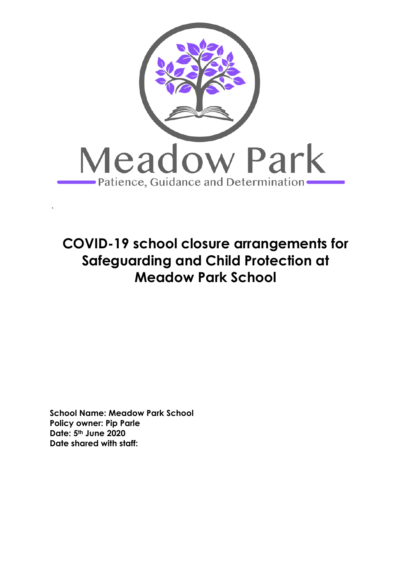

# **COVID-19 school closure arrangements for Safeguarding and Child Protection at Meadow Park School**

**School Name: Meadow Park School Policy owner: Pip Parle Date: 5th June 2020 Date shared with staff:**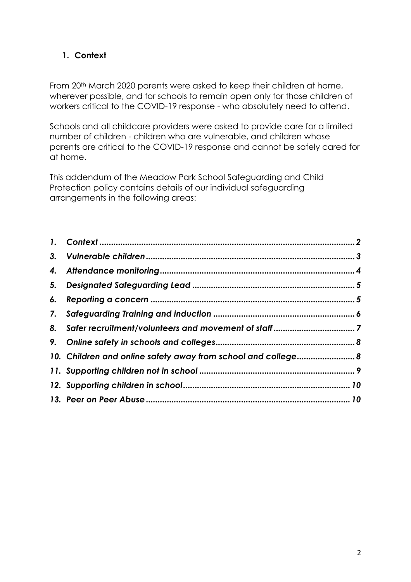# <span id="page-1-0"></span>**1. Context**

From 20th March 2020 parents were asked to keep their children at home, wherever possible, and for schools to remain open only for those children of workers critical to the COVID-19 response - who absolutely need to attend.

Schools and all childcare providers were asked to provide care for a limited number of children - children who are vulnerable, and children whose parents are critical to the COVID-19 response and cannot be safely cared for at home.

This addendum of the Meadow Park School Safeguarding and Child Protection policy contains details of our individual safeguarding arrangements in the following areas:

| 10. Children and online safety away from school and college 8 |  |
|---------------------------------------------------------------|--|
|                                                               |  |
|                                                               |  |
|                                                               |  |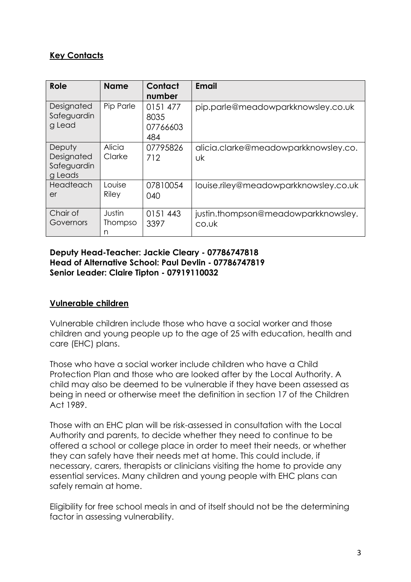# **Key Contacts**

| Role                                           | <b>Name</b>            | Contact<br>number                   | <b>Email</b>                                 |
|------------------------------------------------|------------------------|-------------------------------------|----------------------------------------------|
| Designated<br>Safeguardin<br>g Lead            | Pip Parle              | 0151 477<br>8035<br>07766603<br>484 | pip.parle@meadowparkknowsley.co.uk           |
| Deputy<br>Designated<br>Safeguardin<br>g Leads | Alicia<br>Clarke       | 07795826<br>712                     | alicia.clarke@meadowparkknowsley.co.<br>υk   |
| Headteach<br>er                                | Louise<br>Riley        | 07810054<br>040                     | louise.riley@meadowparkknowsley.co.uk        |
| Chair of<br>Governors                          | Justin<br>Thompso<br>n | 0151 443<br>3397                    | justin.thompson@meadowparkknowsley.<br>co.uk |

#### **Deputy Head-Teacher: Jackie Cleary - 07786747818 Head of Alternative School: Paul Devlin - 07786747819 Senior Leader: Claire Tipton - 07919110032**

#### <span id="page-2-0"></span>**Vulnerable children**

Vulnerable children include those who have a social worker and those children and young people up to the age of 25 with education, health and care (EHC) plans.

Those who have a social worker include children who have a Child Protection Plan and those who are looked after by the Local Authority. A child may also be deemed to be vulnerable if they have been assessed as being in need or otherwise meet the definition in section 17 of the Children Act 1989.

Those with an EHC plan will be risk-assessed in consultation with the Local Authority and parents, to decide whether they need to continue to be offered a school or college place in order to meet their needs, or whether they can safely have their needs met at home. This could include, if necessary, carers, therapists or clinicians visiting the home to provide any essential services. Many children and young people with EHC plans can safely remain at home.

Eligibility for free school meals in and of itself should not be the determining factor in assessing vulnerability.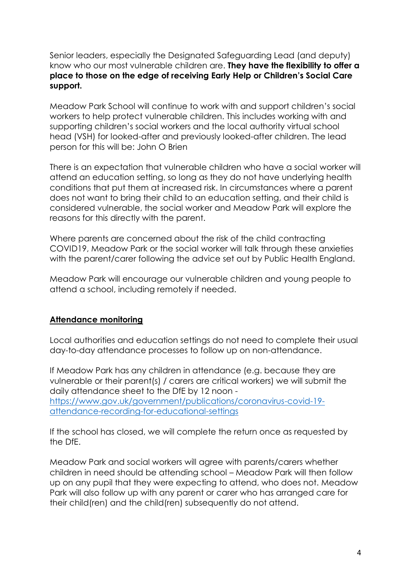Senior leaders, especially the Designated Safeguarding Lead (and deputy) know who our most vulnerable children are. **They have the flexibility to offer a place to those on the edge of receiving Early Help or Children's Social Care support.**

Meadow Park School will continue to work with and support children's social workers to help protect vulnerable children. This includes working with and supporting children's social workers and the local authority virtual school head (VSH) for looked-after and previously looked-after children. The lead person for this will be: John O Brien

There is an expectation that vulnerable children who have a social worker will attend an education setting, so long as they do not have underlying health conditions that put them at increased risk. In circumstances where a parent does not want to bring their child to an education setting, and their child is considered vulnerable, the social worker and Meadow Park will explore the reasons for this directly with the parent.

Where parents are concerned about the risk of the child contracting COVID19, Meadow Park or the social worker will talk through these anxieties with the parent/carer following the advice set out by Public Health England.

Meadow Park will encourage our vulnerable children and young people to attend a school, including remotely if needed.

#### <span id="page-3-0"></span>**Attendance monitoring**

Local authorities and education settings do not need to complete their usual day-to-day attendance processes to follow up on non-attendance.

If Meadow Park has any children in attendance (e.g. because they are vulnerable or their parent(s) / carers are critical workers) we will submit the daily attendance sheet to the DfE by 12 noon [https://www.gov.uk/government/publications/coronavirus-covid-19](https://www.gov.uk/government/publications/coronavirus-covid-19-attendance-recording-for-educational-settings) [attendance-recording-for-educational-settings](https://www.gov.uk/government/publications/coronavirus-covid-19-attendance-recording-for-educational-settings)

If the school has closed, we will complete the return once as requested by the DfE.

Meadow Park and social workers will agree with parents/carers whether children in need should be attending school – Meadow Park will then follow up on any pupil that they were expecting to attend, who does not. Meadow Park will also follow up with any parent or carer who has arranged care for their child(ren) and the child(ren) subsequently do not attend.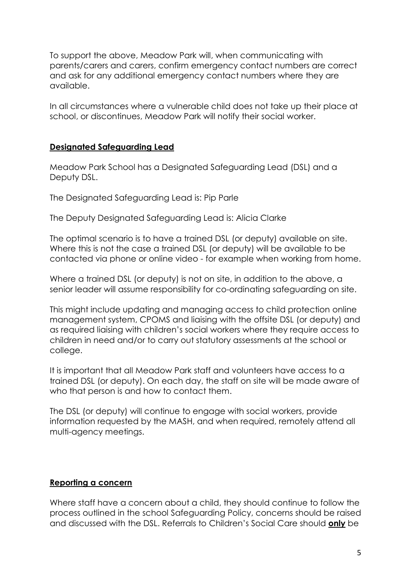To support the above, Meadow Park will, when communicating with parents/carers and carers, confirm emergency contact numbers are correct and ask for any additional emergency contact numbers where they are available.

In all circumstances where a vulnerable child does not take up their place at school, or discontinues, Meadow Park will notify their social worker.

#### <span id="page-4-0"></span>**Designated Safeguarding Lead**

Meadow Park School has a Designated Safeguarding Lead (DSL) and a Deputy DSL.

The Designated Safeguarding Lead is: Pip Parle

The Deputy Designated Safeguarding Lead is: Alicia Clarke

The optimal scenario is to have a trained DSL (or deputy) available on site. Where this is not the case a trained DSL (or deputy) will be available to be contacted via phone or online video - for example when working from home.

Where a trained DSL (or deputy) is not on site, in addition to the above, a senior leader will assume responsibility for co-ordinating safeguarding on site.

This might include updating and managing access to child protection online management system, CPOMS and liaising with the offsite DSL (or deputy) and as required liaising with children's social workers where they require access to children in need and/or to carry out statutory assessments at the school or college.

It is important that all Meadow Park staff and volunteers have access to a trained DSL (or deputy). On each day, the staff on site will be made aware of who that person is and how to contact them.

The DSL (or deputy) will continue to engage with social workers, provide information requested by the MASH, and when required, remotely attend all multi-agency meetings.

## <span id="page-4-1"></span>**Reporting a concern**

Where staff have a concern about a child, they should continue to follow the process outlined in the school Safeguarding Policy, concerns should be raised and discussed with the DSL. Referrals to Children's Social Care should **only** be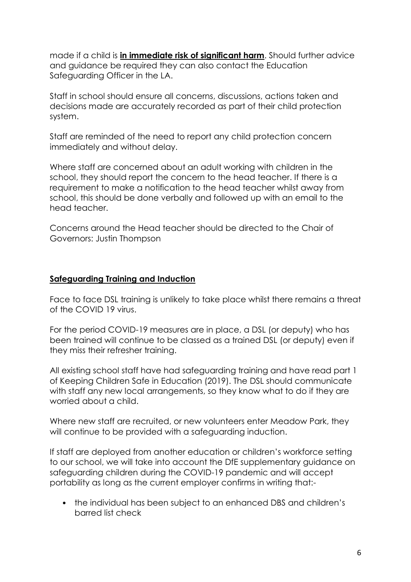made if a child is **in immediate risk of significant harm**. Should further advice and guidance be required they can also contact the Education Safeguarding Officer in the LA.

Staff in school should ensure all concerns, discussions, actions taken and decisions made are accurately recorded as part of their child protection system.

Staff are reminded of the need to report any child protection concern immediately and without delay.

Where staff are concerned about an adult working with children in the school, they should report the concern to the head teacher. If there is a requirement to make a notification to the head teacher whilst away from school, this should be done verbally and followed up with an email to the head teacher.

Concerns around the Head teacher should be directed to the Chair of Governors: Justin Thompson

#### <span id="page-5-0"></span>**Safeguarding Training and Induction**

Face to face DSL training is unlikely to take place whilst there remains a threat of the COVID 19 virus.

For the period COVID-19 measures are in place, a DSL (or deputy) who has been trained will continue to be classed as a trained DSL (or deputy) even if they miss their refresher training.

All existing school staff have had safeguarding training and have read part 1 of Keeping Children Safe in Education (2019). The DSL should communicate with staff any new local arrangements, so they know what to do if they are worried about a child.

Where new staff are recruited, or new volunteers enter Meadow Park, they will continue to be provided with a safeguarding induction.

If staff are deployed from another education or children's workforce setting to our school, we will take into account the DfE supplementary guidance on safeguarding children during the COVID-19 pandemic and will accept portability as long as the current employer confirms in writing that:-

• the individual has been subject to an enhanced DBS and children's barred list check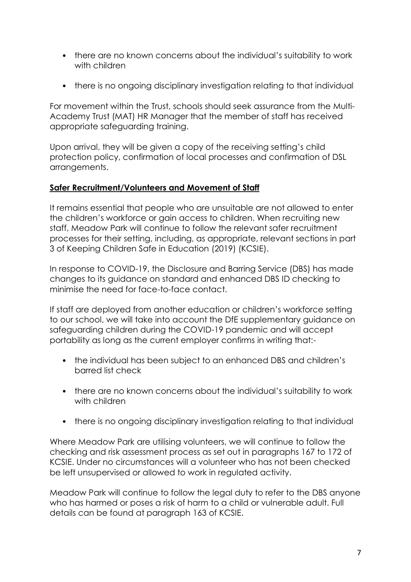- there are no known concerns about the individual's suitability to work with children
- there is no ongoing disciplinary investigation relating to that individual

For movement within the Trust, schools should seek assurance from the Multi-Academy Trust (MAT) HR Manager that the member of staff has received appropriate safeguarding training.

Upon arrival, they will be given a copy of the receiving setting's child protection policy, confirmation of local processes and confirmation of DSL arrangements.

## <span id="page-6-0"></span>**Safer Recruitment/Volunteers and Movement of Staff**

It remains essential that people who are unsuitable are not allowed to enter the children's workforce or gain access to children. When recruiting new staff, Meadow Park will continue to follow the relevant safer recruitment processes for their setting, including, as appropriate, relevant sections in part 3 of Keeping Children Safe in Education (2019) (KCSIE).

In response to COVID-19, the Disclosure and Barring Service (DBS) has made changes to its guidance on standard and enhanced DBS ID checking to minimise the need for face-to-face contact.

If staff are deployed from another education or children's workforce setting to our school, we will take into account the DfE supplementary guidance on safeguarding children during the COVID-19 pandemic and will accept portability as long as the current employer confirms in writing that:-

- the individual has been subject to an enhanced DBS and children's barred list check
- there are no known concerns about the individual's suitability to work with children
- there is no ongoing disciplinary investigation relating to that individual

Where Meadow Park are utilising volunteers, we will continue to follow the checking and risk assessment process as set out in paragraphs 167 to 172 of KCSIE. Under no circumstances will a volunteer who has not been checked be left unsupervised or allowed to work in regulated activity.

Meadow Park will continue to follow the legal duty to refer to the DBS anyone who has harmed or poses a risk of harm to a child or vulnerable adult. Full details can be found at paragraph 163 of KCSIE.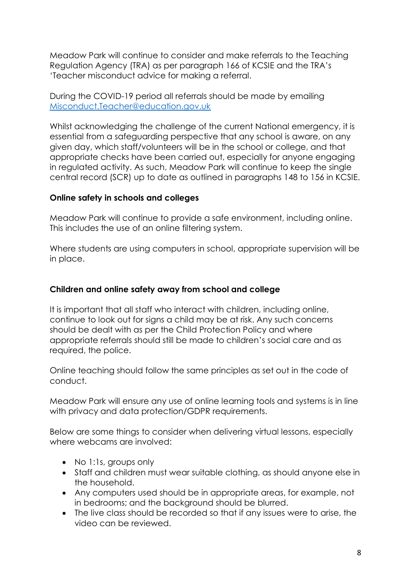Meadow Park will continue to consider and make referrals to the Teaching Regulation Agency (TRA) as per paragraph 166 of KCSIE and the TRA's 'Teacher misconduct advice for making a referral.

During the COVID-19 period all referrals should be made by emailing [Misconduct.Teacher@education.gov.uk](mailto:Misconduct.Teacher@education.gov.uk)

Whilst acknowledging the challenge of the current National emergency, it is essential from a safeguarding perspective that any school is aware, on any given day, which staff/volunteers will be in the school or college, and that appropriate checks have been carried out, especially for anyone engaging in regulated activity. As such, Meadow Park will continue to keep the single central record (SCR) up to date as outlined in paragraphs 148 to 156 in KCSIE.

## <span id="page-7-0"></span>**Online safety in schools and colleges**

Meadow Park will continue to provide a safe environment, including online. This includes the use of an online filtering system.

Where students are using computers in school, appropriate supervision will be in place.

## <span id="page-7-1"></span>**Children and online safety away from school and college**

It is important that all staff who interact with children, including online, continue to look out for signs a child may be at risk. Any such concerns should be dealt with as per the Child Protection Policy and where appropriate referrals should still be made to children's social care and as required, the police.

Online teaching should follow the same principles as set out in the code of conduct.

Meadow Park will ensure any use of online learning tools and systems is in line with privacy and data protection/GDPR requirements.

Below are some things to consider when delivering virtual lessons, especially where webcams are involved:

- No 1:1s, groups only
- Staff and children must wear suitable clothing, as should anyone else in the household.
- Any computers used should be in appropriate areas, for example, not in bedrooms; and the background should be blurred.
- The live class should be recorded so that if any issues were to arise, the video can be reviewed.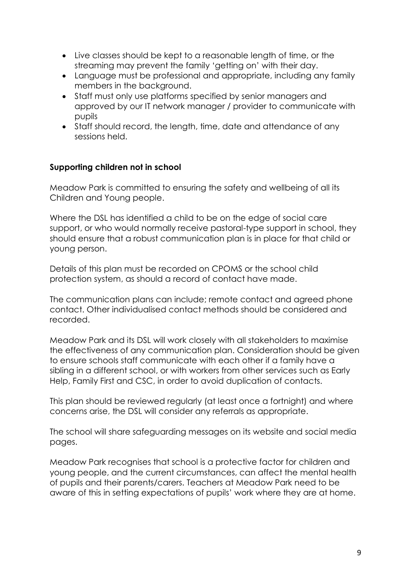- Live classes should be kept to a reasonable length of time, or the streaming may prevent the family 'getting on' with their day.
- Language must be professional and appropriate, including any family members in the background.
- Staff must only use platforms specified by senior managers and approved by our IT network manager / provider to communicate with pupils
- Staff should record, the length, time, date and attendance of any sessions held.

## <span id="page-8-0"></span>**Supporting children not in school**

Meadow Park is committed to ensuring the safety and wellbeing of all its Children and Young people.

Where the DSL has identified a child to be on the edge of social care support, or who would normally receive pastoral-type support in school, they should ensure that a robust communication plan is in place for that child or young person.

Details of this plan must be recorded on CPOMS or the school child protection system, as should a record of contact have made.

The communication plans can include; remote contact and agreed phone contact. Other individualised contact methods should be considered and recorded.

Meadow Park and its DSL will work closely with all stakeholders to maximise the effectiveness of any communication plan. Consideration should be given to ensure schools staff communicate with each other if a family have a sibling in a different school, or with workers from other services such as Early Help, Family First and CSC, in order to avoid duplication of contacts.

This plan should be reviewed regularly (at least once a fortnight) and where concerns arise, the DSL will consider any referrals as appropriate.

The school will share safeguarding messages on its website and social media pages.

Meadow Park recognises that school is a protective factor for children and young people, and the current circumstances, can affect the mental health of pupils and their parents/carers. Teachers at Meadow Park need to be aware of this in setting expectations of pupils' work where they are at home.